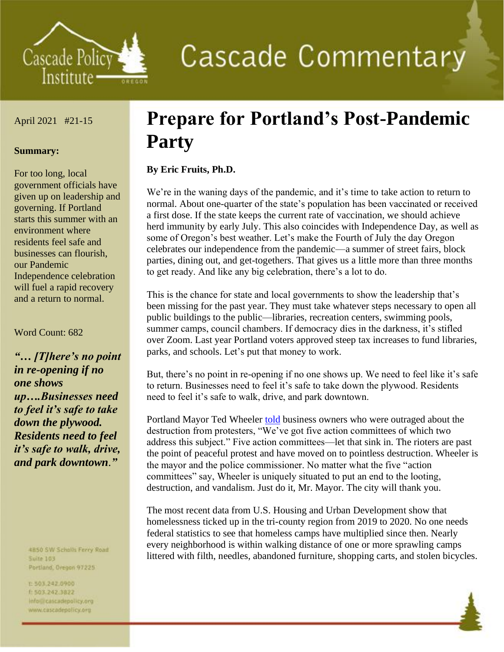

# **Cascade Commentary**

#### April 2021 #21-15

#### **Summary:**

For too long, local government officials have given up on leadership and governing. If Portland starts this summer with an environment where residents feel safe and businesses can flourish, our Pandemic Independence celebration will fuel a rapid recovery and a return to normal.

#### Word Count: 682

*"… [T]here's no point in re-opening if no one shows up….Businesses need to feel it's safe to take down the plywood. Residents need to feel it's safe to walk, drive, and park downtown*.*"*

> 4B50 SW Scholls Ferry Road **Suite 103**

Portland, Oregon 97225

t:503,242.0900 1 503.242.3822

info preascadepolicy.org www.cascadepolicy.org

## **Prepare for Portland's Post-Pandemic Party**

#### **By Eric Fruits, Ph.D.**

We're in the waning days of the pandemic, and it's time to take action to return to normal. About one-quarter of the state's population has been vaccinated or received a first dose. If the state keeps the current rate of vaccination, we should achieve herd immunity by early July. This also coincides with Independence Day, as well as some of Oregon's best weather. Let's make the Fourth of July the day Oregon celebrates our independence from the pandemic—a summer of street fairs, block parties, dining out, and get-togethers. That gives us a little more than three months to get ready. And like any big celebration, there's a lot to do.

This is the chance for state and local governments to show the leadership that's been missing for the past year. They must take whatever steps necessary to open all public buildings to the public—libraries, recreation centers, swimming pools, summer camps, council chambers. If democracy dies in the darkness, it's stifled over Zoom. Last year Portland voters approved steep tax increases to fund libraries, parks, and schools. Let's put that money to work.

But, there's no point in re-opening if no one shows up. We need to feel like it's safe to return. Businesses need to feel it's safe to take down the plywood. Residents need to feel it's safe to walk, drive, and park downtown.

Portland Mayor Ted Wheeler [told](https://katu.com/news/local/business-owners-speak-out-at-portland-city-council-meeting-bring-safety-back) business owners who were outraged about the destruction from protesters, "We've got five action committees of which two address this subject." Five action committees—let that sink in. The rioters are past the point of peaceful protest and have moved on to pointless destruction. Wheeler is the mayor and the police commissioner. No matter what the five "action committees" say, Wheeler is uniquely situated to put an end to the looting, destruction, and vandalism. Just do it, Mr. Mayor. The city will thank you.

The most recent data from U.S. Housing and Urban Development show that homelessness ticked up in the tri-county region from 2019 to 2020. No one needs federal statistics to see that homeless camps have multiplied since then. Nearly every neighborhood is within walking distance of one or more sprawling camps littered with filth, needles, abandoned furniture, shopping carts, and stolen bicycles.